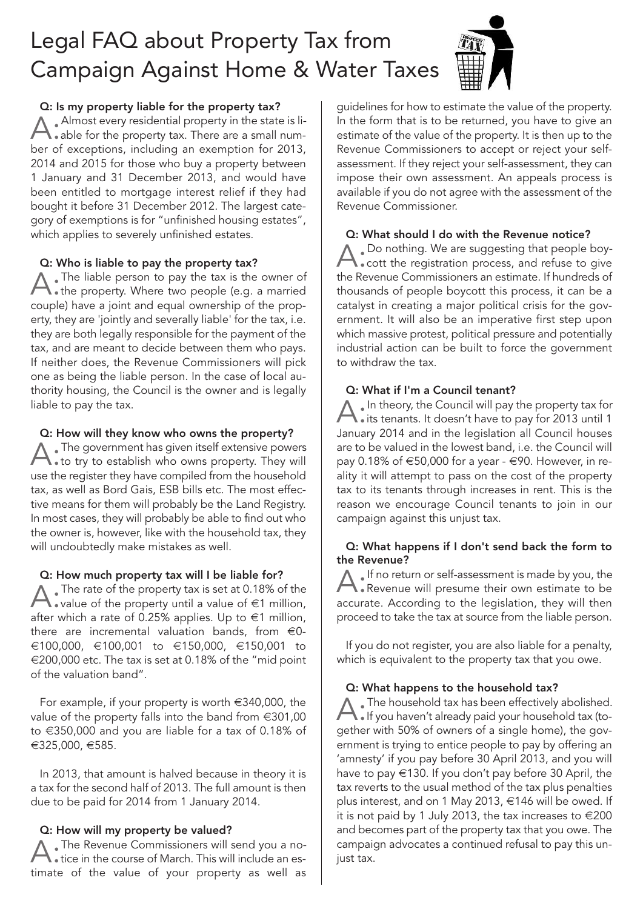# Legal FAQ about Property Tax from Campaign Against Home & Water Taxes



#### Q: Is my property liable for the property tax?

A: Almost every residential property in the state is li-<br>able for the property tax. There are a small num-Almost every residential property in the state is liber of exceptions, including an exemption for 2013, 2014 and 2015 for those who buy a property between 1 January and 31 December 2013, and would have been entitled to mortgage interest relief if they had bought it before 31 December 2012. The largest category of exemptions is for "unfinished housing estates", which applies to severely unfinished estates.

# Q: Who is liable to pay the property tax?

A: The liable person to pay the tax is the owner of<br>
the property. Where two people (e.g. a married The liable person to pay the tax is the owner of couple) have a joint and equal ownership of the property, they are 'jointly and severally liable' for the tax, i.e. they are both legally responsible for the payment of the tax, and are meant to decide between them who pays. If neither does, the Revenue Commissioners will pick one as being the liable person. In the case of local authority housing, the Council is the owner and is legally liable to pay the tax.

# Q: How will they know who owns the property?

A: to try to establish who owns property. They will The government has given itself extensive powers use the register they have compiled from the household tax, as well as Bord Gais, ESB bills etc. The most effective means for them will probably be the Land Registry. In most cases, they will probably be able to find out who the owner is, however, like with the household tax, they will undoubtedly make mistakes as well.

# Q: How much property tax will I be liable for?

**A**. The rate of the property tax is set at 0.18% of the evolution,  $\blacksquare$  and  $\blacksquare$  and  $\blacksquare$  and  $\blacksquare$  and  $\blacksquare$  and  $\blacksquare$ The rate of the property tax is set at 0.18% of the after which a rate of 0.25% applies. Up to €1 million, there are incremental valuation bands, from  $\in$ 0-€100,000, €100,001 to €150,000, €150,001 to €200,000 etc. The tax is set at 0.18% of the "mid point of the valuation band".

For example, if your property is worth  $\in$ 340,000, the value of the property falls into the band from €301,00 to €350,000 and you are liable for a tax of 0.18% of €325,000, €585.

In 2013, that amount is halved because in theory it is a tax for the second half of 2013. The full amount is then due to be paid for 2014 from 1 January 2014.

# Q: How will my property be valued?

A. The Revenue Commissioners will send you a no-<br>Let us in the course of March. This will include an estice in the course of March. This will include an estimate of the value of your property as well as guidelines for how to estimate the value of the property. In the form that is to be returned, you have to give an estimate of the value of the property. It is then up to the Revenue Commissioners to accept or reject your selfassessment. If they reject your self-assessment, they can impose their own assessment. An appeals process is available if you do not agree with the assessment of the Revenue Commissioner.

# Q: What should I do with the Revenue notice?

A. Do nothing. We are suggesting that people boy-<br>
. cott the registration process, and refuse to give cott the registration process, and refuse to give the Revenue Commissioners an estimate. If hundreds of thousands of people boycott this process, it can be a catalyst in creating a major political crisis for the government. It will also be an imperative first step upon which massive protest, political pressure and potentially industrial action can be built to force the government to withdraw the tax.

# Q: What if I'm a Council tenant?

A: In theory, the Council will pay the property tax for<br>its tenants. It doesn't have to pay for 2013 until 1. its tenants. It doesn't have to pay for 2013 until 1 January 2014 and in the legislation all Council houses are to be valued in the lowest band, i.e. the Council will pay 0.18% of €50,000 for a year - €90. However, in reality it will attempt to pass on the cost of the property tax to its tenants through increases in rent. This is the reason we encourage Council tenants to join in our campaign against this unjust tax.

# Q: What happens if I don't send back the form to the Revenue?

A: If no return or self-assessment is made by you, the<br>
Revenue will presume their own estimate to be Revenue will presume their own estimate to be accurate. According to the legislation, they will then proceed to take the tax at source from the liable person.

If you do not register, you are also liable for a penalty, which is equivalent to the property tax that you owe.

#### Q: What happens to the household tax?

A: If you haven't already paid your household tax (to-The household tax has been effectively abolished. gether with 50% of owners of a single home), the government is trying to entice people to pay by offering an 'amnesty' if you pay before 30 April 2013, and you will have to pay €130. If you don't pay before 30 April, the tax reverts to the usual method of the tax plus penalties plus interest, and on 1 May 2013, €146 will be owed. If it is not paid by 1 July 2013, the tax increases to €200 and becomes part of the property tax that you owe. The campaign advocates a continued refusal to pay this unjust tax.